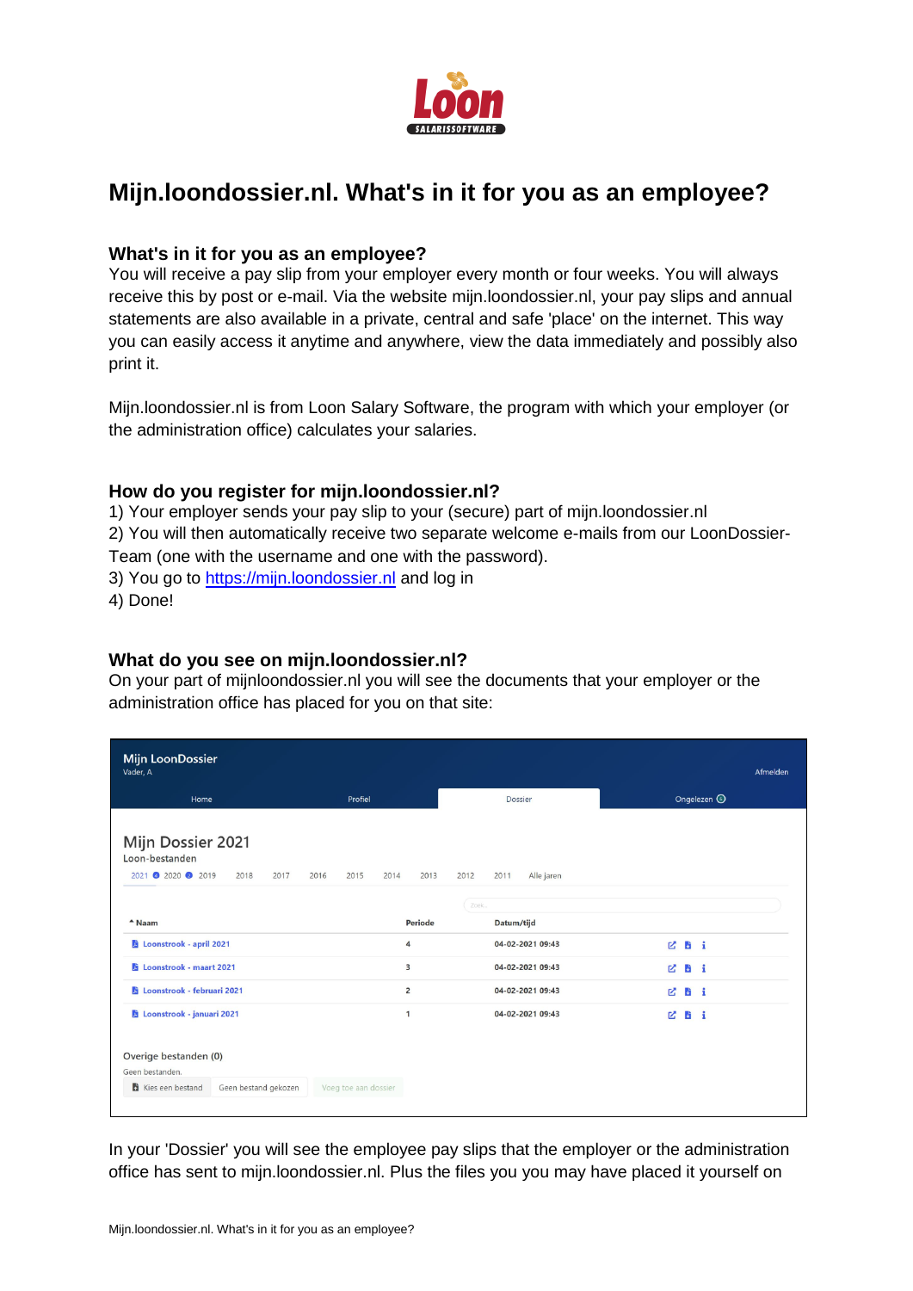

# **Mijn.loondossier.nl. What's in it for you as an employee?**

#### **What's in it for you as an employee?**

You will receive a pay slip from your employer every month or four weeks. You will always receive this by post or e-mail. Via the website mijn.loondossier.nl, your pay slips and annual statements are also available in a private, central and safe 'place' on the internet. This way you can easily access it anytime and anywhere, view the data immediately and possibly also print it.

Mijn.loondossier.nl is from Loon Salary Software, the program with which your employer (or the administration office) calculates your salaries.

#### **How do you register for mijn.loondossier.nl?**

1) Your employer sends your pay slip to your (secure) part of mijn.loondossier.nl 2) You will then automatically receive two separate welcome e-mails from our LoonDossier-Team (one with the username and one with the password). 3) You go to [https://mijn.loondossier.nl](https://mijn.loondossier.nl/) and log in

4) Done!

## **What do you see on mijn.loondossier.nl?**

On your part of mijnloondossier.nl you will see the documents that your employer or the administration office has placed for you on that site:

| <b>Mijn LoonDossier</b><br>Vader, A<br>Home                           | Profiel              |                | Dossier                    |              | Afmelden               |
|-----------------------------------------------------------------------|----------------------|----------------|----------------------------|--------------|------------------------|
|                                                                       |                      |                |                            |              | Ongelezen <sup>6</sup> |
| Mijn Dossier 2021<br>Loon-bestanden<br>2021 2020 2019<br>2018<br>2017 | 2016<br>2015<br>2014 | 2013           | 2012<br>2011<br>Alle jaren |              |                        |
|                                                                       |                      |                | Zoek                       |              |                        |
| $^{\triangle}$ Naam                                                   |                      | Periode        | Datum/tijd                 |              |                        |
| Loonstrook - april 2021                                               |                      | 4              | 04-02-2021 09:43           | Chi          |                        |
| Loonstrook - maart 2021                                               |                      | 3              | 04-02-2021 09:43           | <b>ZBi</b>   |                        |
| Loonstrook - februari 2021                                            |                      | $\overline{2}$ | 04-02-2021 09:43           | R.           | <b>Bi</b>              |
| Loonstrook - januari 2021                                             |                      | 1              | 04-02-2021 09:43           | <b>ビ 防 i</b> |                        |
| Overige bestanden (0)<br>Geen bestanden.                              |                      |                |                            |              |                        |
| Kies een bestand<br>Geen bestand gekozen                              | Voeg toe aan dossier |                |                            |              |                        |

In your 'Dossier' you will see the employee pay slips that the employer or the administration office has sent to mijn.loondossier.nl. Plus the files you you may have placed it yourself on